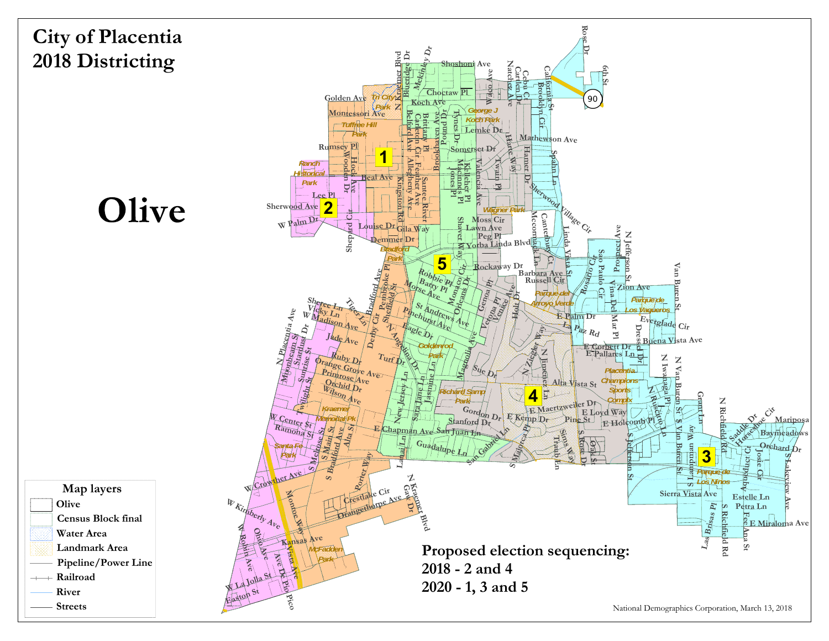